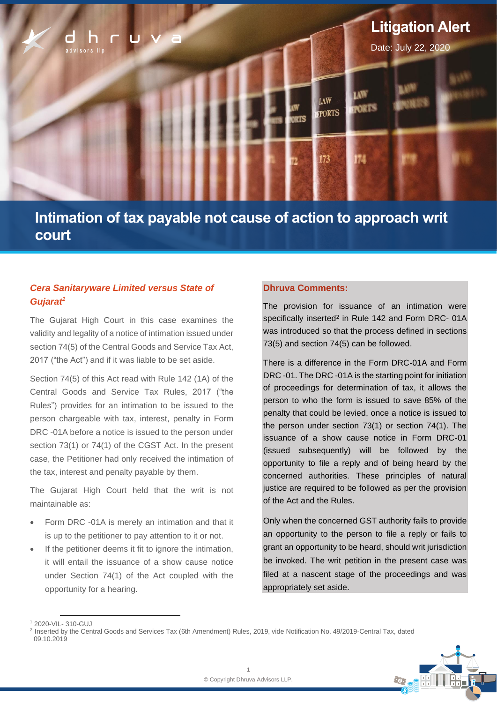

# **Intimation of tax payable not cause of action to approach writ court**

## *Cera Sanitaryware Limited versus State of Gujarat<sup>1</sup>*

The Gujarat High Court in this case examines the validity and legality of a notice of intimation issued under section 74(5) of the Central Goods and Service Tax Act, 2017 ("the Act") and if it was liable to be set aside.

Section 74(5) of this Act read with Rule 142 (1A) of the Central Goods and Service Tax Rules, 2017 ("the Rules") provides for an intimation to be issued to the person chargeable with tax, interest, penalty in Form DRC -01A before a notice is issued to the person under section 73(1) or 74(1) of the CGST Act. In the present case, the Petitioner had only received the intimation of the tax, interest and penalty payable by them.

The Gujarat High Court held that the writ is not maintainable as:

- Form DRC -01A is merely an intimation and that it is up to the petitioner to pay attention to it or not.
- If the petitioner deems it fit to ignore the intimation, it will entail the issuance of a show cause notice under Section 74(1) of the Act coupled with the opportunity for a hearing.

### **Dhruva Comments:**

The provision for issuance of an intimation were specifically inserted<sup>2</sup> in Rule 142 and Form DRC- 01A was introduced so that the process defined in sections 73(5) and section 74(5) can be followed.

There is a difference in the Form DRC-01A and Form DRC -01. The DRC -01A is the starting point for initiation of proceedings for determination of tax, it allows the person to who the form is issued to save 85% of the penalty that could be levied, once a notice is issued to the person under section 73(1) or section 74(1). The issuance of a show cause notice in Form DRC-01 (issued subsequently) will be followed by the opportunity to file a reply and of being heard by the concerned authorities. These principles of natural justice are required to be followed as per the provision of the Act and the Rules.

Only when the concerned GST authority fails to provide an opportunity to the person to file a reply or fails to grant an opportunity to be heard, should writ jurisdiction be invoked. The writ petition in the present case was filed at a nascent stage of the proceedings and was appropriately set aside.

<sup>2</sup> Inserted by the Central Goods and Services Tax (6th Amendment) Rules, 2019, vide Notification No. 49/2019-Central Tax, dated 09.10.2019



<sup>1</sup> 2020-VIL- 310-GUJ